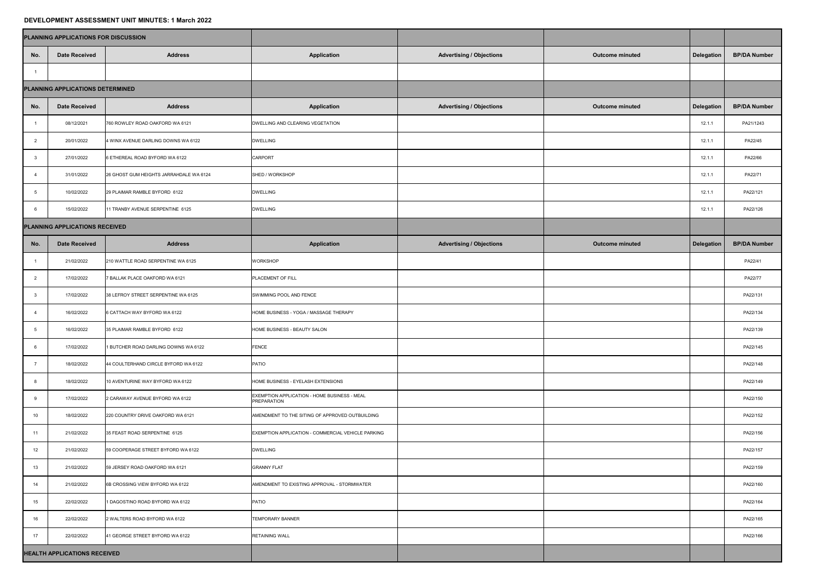## **DEVELOPMENT ASSESSMENT UNIT MINUTES: 1 March 2022**

| PLANNING APPLICATIONS FOR DISCUSSION |                                |                                         |                                                             |                                 |                        |                   |                     |  |  |  |  |
|--------------------------------------|--------------------------------|-----------------------------------------|-------------------------------------------------------------|---------------------------------|------------------------|-------------------|---------------------|--|--|--|--|
| No.                                  | <b>Date Received</b>           | <b>Address</b>                          | <b>Application</b>                                          | <b>Advertising / Objections</b> | <b>Outcome minuted</b> | <b>Delegation</b> | <b>BP/DA Number</b> |  |  |  |  |
|                                      |                                |                                         |                                                             |                                 |                        |                   |                     |  |  |  |  |
| PLANNING APPLICATIONS DETERMINED     |                                |                                         |                                                             |                                 |                        |                   |                     |  |  |  |  |
| No.                                  | <b>Date Received</b>           | <b>Address</b>                          | <b>Application</b>                                          | <b>Advertising / Objections</b> | <b>Outcome minuted</b> | <b>Delegation</b> | <b>BP/DA Number</b> |  |  |  |  |
|                                      | 08/12/2021                     | 760 ROWLEY ROAD OAKFORD WA 6121         | DWELLING AND CLEARING VEGETATION                            |                                 |                        | 12.1.1            | PA21/1243           |  |  |  |  |
|                                      | 20/01/2022                     | 4 WINX AVENUE DARLING DOWNS WA 6122     | <b>DWELLING</b>                                             |                                 |                        | 12.1.1            | PA22/45             |  |  |  |  |
|                                      | 27/01/2022                     | 6 ETHEREAL ROAD BYFORD WA 6122          | <b>CARPORT</b>                                              |                                 |                        | 12.1.1            | PA22/66             |  |  |  |  |
|                                      | 31/01/2022                     | 26 GHOST GUM HEIGHTS JARRAHDALE WA 6124 | SHED / WORKSHOP                                             |                                 | 12.1.1                 | PA22/71           |                     |  |  |  |  |
|                                      | 10/02/2022                     | 29 PLAIMAR RAMBLE BYFORD 6122           | <b>DWELLING</b>                                             |                                 | 12.1.1                 | PA22/121          |                     |  |  |  |  |
|                                      | 15/02/2022                     | 11 TRANBY AVENUE SERPENTINE 6125        | <b>DWELLING</b>                                             |                                 |                        | 12.1.1            | PA22/126            |  |  |  |  |
|                                      | PLANNING APPLICATIONS RECEIVED |                                         |                                                             |                                 |                        |                   |                     |  |  |  |  |
| No.                                  | <b>Date Received</b>           | <b>Address</b>                          | <b>Application</b>                                          | <b>Advertising / Objections</b> | <b>Outcome minuted</b> | <b>Delegation</b> | <b>BP/DA Number</b> |  |  |  |  |
|                                      | 21/02/2022                     | 210 WATTLE ROAD SERPENTINE WA 6125      | <b>WORKSHOP</b>                                             |                                 |                        |                   | PA22/41             |  |  |  |  |
|                                      | 17/02/2022                     | 7 BALLAK PLACE OAKFORD WA 6121          | <b>PLACEMENT OF FILL</b>                                    |                                 |                        | PA22/77           |                     |  |  |  |  |
|                                      | 17/02/2022                     | 38 LEFROY STREET SERPENTINE WA 6125     | SWIMMING POOL AND FENCE                                     |                                 |                        | PA22/131          |                     |  |  |  |  |
|                                      | 16/02/2022                     | 6 CATTACH WAY BYFORD WA 6122            | HOME BUSINESS - YOGA / MASSAGE THERAPY                      |                                 |                        | PA22/134          |                     |  |  |  |  |
|                                      | 16/02/2022                     | 35 PLAIMAR RAMBLE BYFORD 6122           | HOME BUSINESS - BEAUTY SALON                                |                                 |                        |                   | PA22/139            |  |  |  |  |
|                                      | 17/02/2022                     | 1 BUTCHER ROAD DARLING DOWNS WA 6122    | FENCE                                                       |                                 |                        |                   | PA22/145            |  |  |  |  |
|                                      | 18/02/2022                     | 44 COULTERHAND CIRCLE BYFORD WA 6122    | <b>PATIO</b>                                                |                                 |                        | PA22/148          |                     |  |  |  |  |
|                                      | 18/02/2022                     | 10 AVENTURINE WAY BYFORD WA 6122        | HOME BUSINESS - EYELASH EXTENSIONS                          |                                 |                        | PA22/149          |                     |  |  |  |  |
|                                      | 17/02/2022                     | 2 CARAWAY AVENUE BYFORD WA 6122         | EXEMPTION APPLICATION - HOME BUSINESS - MEAL<br>PREPARATION |                                 |                        | PA22/150          |                     |  |  |  |  |
| 10                                   | 18/02/2022                     | 220 COUNTRY DRIVE OAKFORD WA 6121       | AMENDMENT TO THE SITING OF APPROVED OUTBUILDING             |                                 |                        | PA22/152          |                     |  |  |  |  |
| 11                                   | 21/02/2022                     | 35 FEAST ROAD SERPENTINE 6125           | EXEMPTION APPLICATION - COMMERCIAL VEHICLE PARKING          |                                 |                        | PA22/156          |                     |  |  |  |  |
| 12                                   | 21/02/2022                     | 59 COOPERAGE STREET BYFORD WA 6122      | <b>DWELLING</b>                                             |                                 |                        | PA22/157          |                     |  |  |  |  |
| 13                                   | 21/02/2022                     | 59 JERSEY ROAD OAKFORD WA 6121          | <b>GRANNY FLAT</b>                                          |                                 |                        |                   | PA22/159            |  |  |  |  |
| 14                                   | 21/02/2022                     | 6B CROSSING VIEW BYFORD WA 6122         | AMENDMENT TO EXISTING APPROVAL - STORMWATER                 |                                 |                        |                   | PA22/160            |  |  |  |  |
| 15                                   | 22/02/2022                     | 1 DAGOSTINO ROAD BYFORD WA 6122         | PATIO                                                       |                                 |                        |                   | PA22/164            |  |  |  |  |
| 16                                   | 22/02/2022                     | 2 WALTERS ROAD BYFORD WA 6122           | <b>TEMPORARY BANNER</b>                                     |                                 |                        |                   | PA22/165            |  |  |  |  |
| 17                                   | 22/02/2022                     | 41 GEORGE STREET BYFORD WA 6122         | <b>RETAINING WALL</b>                                       |                                 |                        |                   | PA22/166            |  |  |  |  |
| <b>HEALTH APPLICATIONS RECEIVED</b>  |                                |                                         |                                                             |                                 |                        |                   |                     |  |  |  |  |